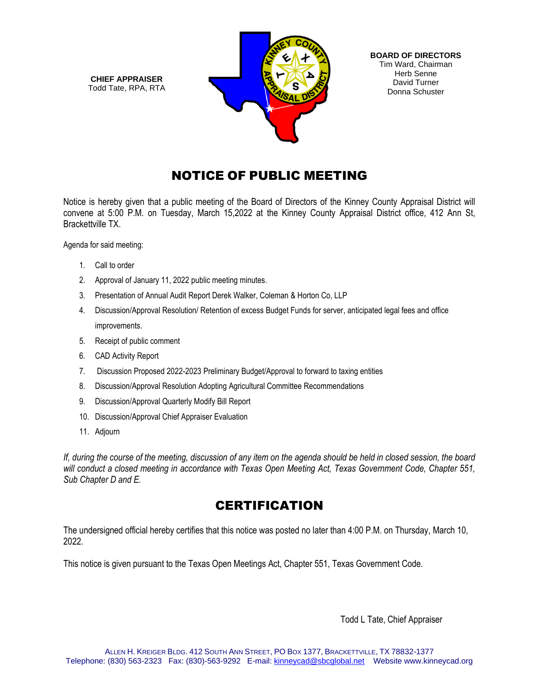**CHIEF APPRAISER** Todd Tate, RPA, RTA



# NOTICE OF PUBLIC MEETING

Notice is hereby given that a public meeting of the Board of Directors of the Kinney County Appraisal District will convene at 5:00 P.M. on Tuesday, March 15,2022 at the Kinney County Appraisal District office, 412 Ann St, Brackettville TX.

Agenda for said meeting:

- 1. Call to order
- 2. Approval of January 11, 2022 public meeting minutes.
- 3. Presentation of Annual Audit Report Derek Walker, Coleman & Horton Co, LLP
- 4. Discussion/Approval Resolution/ Retention of excess Budget Funds for server, anticipated legal fees and office improvements.
- 5. Receipt of public comment
- 6. CAD Activity Report
- 7. Discussion Proposed 2022-2023 Preliminary Budget/Approval to forward to taxing entities
- 8. Discussion/Approval Resolution Adopting Agricultural Committee Recommendations
- 9. Discussion/Approval Quarterly Modify Bill Report
- 10. Discussion/Approval Chief Appraiser Evaluation
- 11. Adjourn

*If, during the course of the meeting, discussion of any item on the agenda should be held in closed session, the board will conduct a closed meeting in accordance with Texas Open Meeting Act, Texas Government Code, Chapter 551, Sub Chapter D and E.* 

## **CERTIFICATION**

The undersigned official hereby certifies that this notice was posted no later than 4:00 P.M. on Thursday, March 10, 2022.

This notice is given pursuant to the Texas Open Meetings Act, Chapter 551, Texas Government Code.

Todd L Tate, Chief Appraiser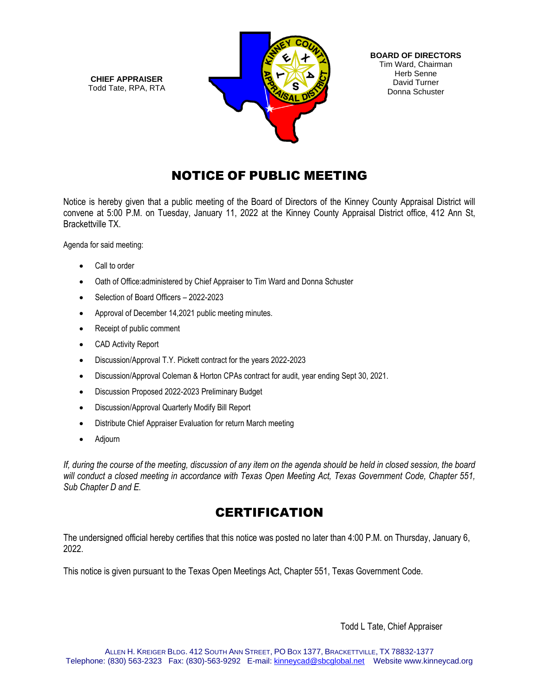**CHIEF APPRAISER** Todd Tate, RPA, RTA



**BOARD OF DIRECTORS** Tim Ward, Chairman Herb Senne David Turner Donna Schuster

# NOTICE OF PUBLIC MEETING

Notice is hereby given that a public meeting of the Board of Directors of the Kinney County Appraisal District will convene at 5:00 P.M. on Tuesday, January 11, 2022 at the Kinney County Appraisal District office, 412 Ann St, Brackettville TX.

Agenda for said meeting:

- Call to order
- Oath of Office:administered by Chief Appraiser to Tim Ward and Donna Schuster
- Selection of Board Officers 2022-2023
- Approval of December 14,2021 public meeting minutes.
- Receipt of public comment
- CAD Activity Report
- Discussion/Approval T.Y. Pickett contract for the years 2022-2023
- Discussion/Approval Coleman & Horton CPAs contract for audit, year ending Sept 30, 2021.
- Discussion Proposed 2022-2023 Preliminary Budget
- Discussion/Approval Quarterly Modify Bill Report
- Distribute Chief Appraiser Evaluation for return March meeting
- Adjourn

*If, during the course of the meeting, discussion of any item on the agenda should be held in closed session, the board will conduct a closed meeting in accordance with Texas Open Meeting Act, Texas Government Code, Chapter 551, Sub Chapter D and E.* 

## **CERTIFICATION**

The undersigned official hereby certifies that this notice was posted no later than 4:00 P.M. on Thursday, January 6, 2022.

This notice is given pursuant to the Texas Open Meetings Act, Chapter 551, Texas Government Code.

Todd L Tate, Chief Appraiser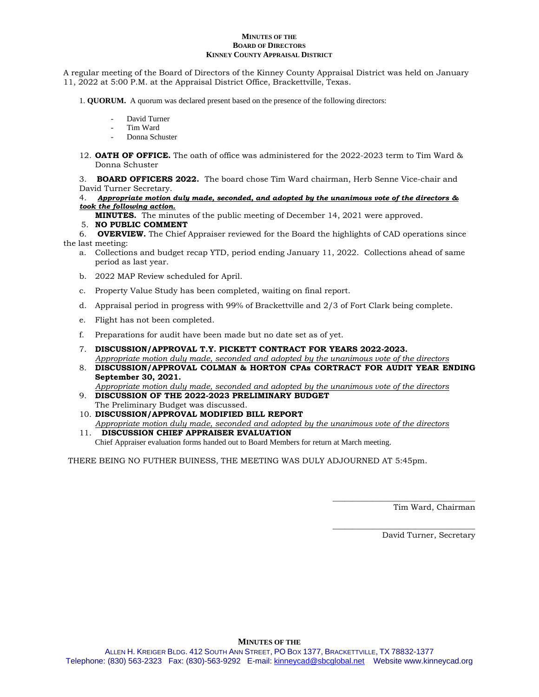#### **MINUTES OF THE BOARD OF DIRECTORS KINNEY COUNTY APPRAISAL DISTRICT**

A regular meeting of the Board of Directors of the Kinney County Appraisal District was held on January 11, 2022 at 5:00 P.M. at the Appraisal District Office, Brackettville, Texas.

- 1. **QUORUM.** A quorum was declared present based on the presence of the following directors:
	- David Turner
	- Tim Ward
	- Donna Schuster
- 12. **OATH OF OFFICE.** The oath of office was administered for the 2022-2023 term to Tim Ward & Donna Schuster

3. **BOARD OFFICERS 2022.** The board chose Tim Ward chairman, Herb Senne Vice-chair and David Turner Secretary.

4.*Appropriate motion duly made, seconded, and adopted by the unanimous vote of the directors & took the following action.*

**MINUTES.** The minutes of the public meeting of December 14, 2021 were approved.

#### 5. **NO PUBLIC COMMENT**

6. **OVERVIEW.** The Chief Appraiser reviewed for the Board the highlights of CAD operations since the last meeting:

- a. Collections and budget recap YTD, period ending January 11, 2022. Collections ahead of same period as last year.
- b. 2022 MAP Review scheduled for April.
- c. Property Value Study has been completed, waiting on final report.
- d. Appraisal period in progress with 99% of Brackettville and 2/3 of Fort Clark being complete.
- e. Flight has not been completed.
- f. Preparations for audit have been made but no date set as of yet.
- 7. **DISCUSSION/APPROVAL T.Y. PICKETT CONTRACT FOR YEARS 2022-2023.** *Appropriate motion duly made, seconded and adopted by the unanimous vote of the directors*
- 8. **DISCUSSION/APPROVAL COLMAN & HORTON CPAs CORTRACT FOR AUDIT YEAR ENDING September 30, 2021.** *Appropriate motion duly made, seconded and adopted by the unanimous vote of the directors*
- 9. **DISCUSSION OF THE 2022-2023 PRELIMINARY BUDGET** The Preliminary Budget was discussed.
- 10. **DISCUSSION/APPROVAL MODIFIED BILL REPORT** *Appropriate motion duly made, seconded and adopted by the unanimous vote of the directors*
- 11. **DISCUSSION CHIEF APPRAISER EVALUATION** Chief Appraiser evaluation forms handed out to Board Members for return at March meeting.

THERE BEING NO FUTHER BUINESS, THE MEETING WAS DULY ADJOURNED AT 5:45pm.

Tim Ward, Chairman

\_\_\_\_\_\_\_\_\_\_\_\_\_\_\_\_\_\_\_\_\_\_\_\_\_\_\_\_\_\_\_\_\_\_\_\_

\_\_\_\_\_\_\_\_\_\_\_\_\_\_\_\_\_\_\_\_\_\_\_\_\_\_\_\_\_\_\_\_\_\_\_\_

David Turner, Secretary